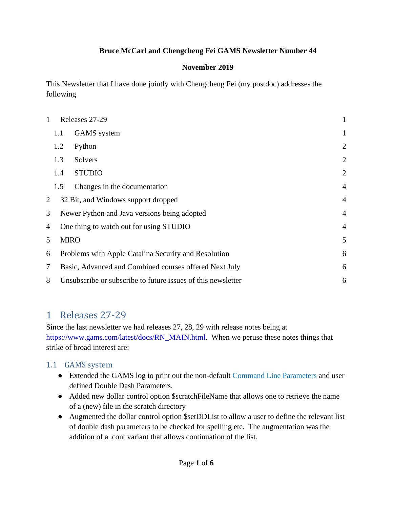#### **Bruce McCarl and Chengcheng Fei GAMS Newsletter Number 44**

#### **November 2019**

This Newsletter that I have done jointly with Chengcheng Fei (my postdoc) addresses the following

| 1 | Releases 27-29                          |                                                                |                |  |  |  |
|---|-----------------------------------------|----------------------------------------------------------------|----------------|--|--|--|
|   | 1.1                                     | <b>GAMS</b> system                                             | 1              |  |  |  |
|   | 1.2                                     | Python                                                         | $\overline{2}$ |  |  |  |
|   | 1.3                                     | Solvers                                                        | $\overline{2}$ |  |  |  |
|   | 1.4                                     | <b>STUDIO</b>                                                  | $\overline{2}$ |  |  |  |
|   | 1.5                                     | Changes in the documentation                                   | $\overline{4}$ |  |  |  |
| 2 |                                         | 32 Bit, and Windows support dropped                            | $\overline{4}$ |  |  |  |
| 3 |                                         | Newer Python and Java versions being adopted<br>$\overline{4}$ |                |  |  |  |
| 4 | One thing to watch out for using STUDIO |                                                                |                |  |  |  |
| 5 |                                         | <b>MIRO</b>                                                    |                |  |  |  |
| 6 |                                         | Problems with Apple Catalina Security and Resolution           |                |  |  |  |
| 7 |                                         | Basic, Advanced and Combined courses offered Next July         |                |  |  |  |
| 8 |                                         | Unsubscribe or subscribe to future issues of this newsletter   |                |  |  |  |

### <span id="page-0-0"></span>1 Releases 27-29

Since the last newsletter we had releases 27, 28, 29 with release notes being at [https://www.gams.com/latest/docs/RN\\_MAIN.html.](https://www.gams.com/latest/docs/RN_MAIN.html) When we peruse these notes things that strike of broad interest are:

#### <span id="page-0-1"></span>1.1 GAMS system

- Extended the GAMS log to print out the non-default [Command Line Parameters](https://www.gams.com/latest/docs/UG_GamsCall.html#UG_GamsCall_ListOfCommandLineParameters) and user defined Double Dash Parameters.
- Added new dollar control option \$scratchFileName that allows one to retrieve the name of a (new) file in the scratch directory
- Augmented the dollar control option \$setDDList to allow a user to define the relevant list of double dash parameters to be checked for spelling etc. The augmentation was the addition of a .cont variant that allows continuation of the list.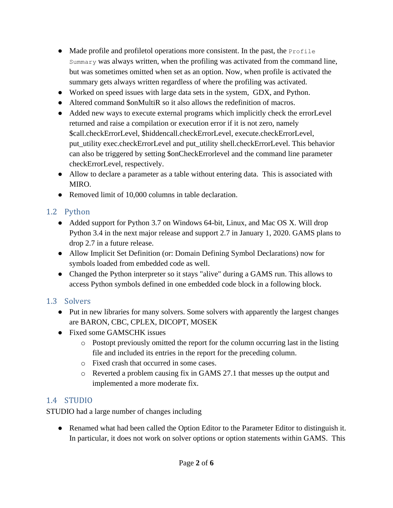- $\bullet$  Made profile and profiletol operations more consistent. In the past, the Profile Summary was always written, when the profiling was activated from the command line, but was sometimes omitted when set as an option. Now, when profile is activated the summary gets always written regardless of where the profiling was activated.
- Worked on speed issues with large data sets in the system, GDX, and Python.
- Altered command \$onMultiR so it also allows the redefinition of macros.
- Added new ways to execute external programs which implicitly check the errorLevel returned and raise a compilation or execution error if it is not zero, namely \$call.checkErrorLevel, \$hiddencall.checkErrorLevel, execute.checkErrorLevel, put\_utility exec.checkErrorLevel and put\_utility shell.checkErrorLevel. This behavior can also be triggered by setting \$onCheckErrorlevel and the command line parameter checkErrorLevel, respectively.
- Allow to declare a parameter as a table without entering data. This is associated with MIRO.
- Removed limit of 10,000 columns in table declaration.

#### <span id="page-1-0"></span>1.2 Python

- Added support for Python 3.7 on Windows 64-bit, Linux, and Mac OS X. Will drop Python 3.4 in the next major release and support 2.7 in January 1, 2020. GAMS plans to drop 2.7 in a future release.
- Allow Implicit Set Definition (or: Domain Defining Symbol Declarations) now for symbols loaded from embedded code as well.
- Changed the Python interpreter so it stays "alive" during a GAMS run. This allows to access Python symbols defined in one embedded code block in a following block.

#### <span id="page-1-1"></span>1.3 Solvers

- Put in new libraries for many solvers. Some solvers with apparently the largest changes are BARON, CBC, CPLEX, DICOPT, MOSEK
- Fixed some GAMSCHK issues
	- o Postopt previously omitted the report for the column occurring last in the listing file and included its entries in the report for the preceding column.
	- o Fixed crash that occurred in some cases.
	- o Reverted a problem causing fix in GAMS 27.1 that messes up the output and implemented a more moderate fix.

#### <span id="page-1-2"></span>1.4 STUDIO

STUDIO had a large number of changes including

● Renamed what had been called the Option Editor to the Parameter Editor to distinguish it. In particular, it does not work on solver options or option statements within GAMS. This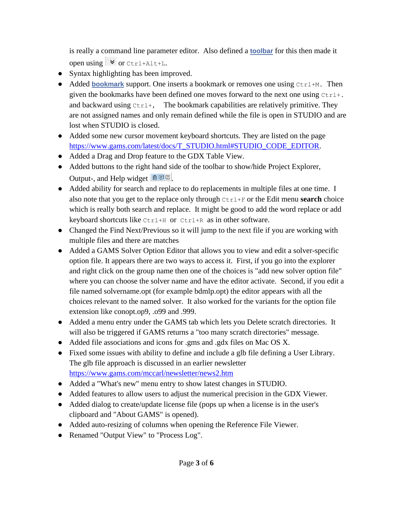is really a command line parameter editor. Also defined a **[toolbar](https://www.gams.com/latest/docs/T_STUDIO.html#STUDIO_TOOLBAR)** for this then made it open using  $\triangledown$  or Ctrl+Alt+L.

- Syntax highlighting has been improved.
- Added **[bookmark](https://www.gams.com/latest/docs/T_STUDIO.html#STUDIO_SHORTCUTS_TEXTEDITNAV)** support. One inserts a bookmark or removes one using Ctrl+M. Then given the bookmarks have been defined one moves forward to the next one using  $Ctr1+$ . and backward using  $Ctr1+$ , The bookmark capabilities are relatively primitive. They are not assigned names and only remain defined while the file is open in STUDIO and are lost when STUDIO is closed.
- Added some new cursor movement keyboard shortcuts. They are listed on the page [https://www.gams.com/latest/docs/T\\_STUDIO.html#STUDIO\\_CODE\\_EDITOR.](https://www.gams.com/latest/docs/T_STUDIO.html#STUDIO_CODE_EDITOR)
- Added a Drag and Drop feature to the GDX Table View.
- Added buttons to the right hand side of the toolbar to show/hide Project Explorer, Output-, and Help widget  $\Box$
- Added ability for search and replace to do replacements in multiple files at one time. I also note that you get to the replace only through Ctrl+F or the Edit menu **search** choice which is really both search and replace. It might be good to add the word replace or add keyboard shortcuts like Ctrl+H or Ctrl+R as in other software.
- Changed the Find Next/Previous so it will jump to the next file if you are working with multiple files and there are matches
- Added a GAMS Solver Option Editor that allows you to view and edit a solver-specific option file. It appears there are two ways to access it. First, if you go into the explorer and right click on the group name then one of the choices is "add new solver option file" where you can choose the solver name and have the editor activate. Second, if you edit a file named solvername.opt (for example bdmlp.opt) the editor appears with all the choices relevant to the named solver. It also worked for the variants for the option file extension like conopt.op9, .o99 and .999.
- Added a menu entry under the GAMS tab which lets you Delete scratch directories. It will also be triggered if GAMS returns a "too many scratch directories" message.
- Added file associations and icons for .gms and .gdx files on Mac OS X.
- Fixed some issues with ability to define and include a glb file defining a User Library. The glb file approach is discussed in an earlier newsletter <https://www.gams.com/mccarl/newsletter/news2.htm>
- Added a "What's new" menu entry to show latest changes in STUDIO.
- Added features to allow users to adjust the numerical precision in the GDX Viewer.
- Added dialog to create/update license file (pops up when a license is in the user's clipboard and "About GAMS" is opened).
- Added auto-resizing of columns when opening the Reference File Viewer.
- Renamed "Output View" to "Process Log".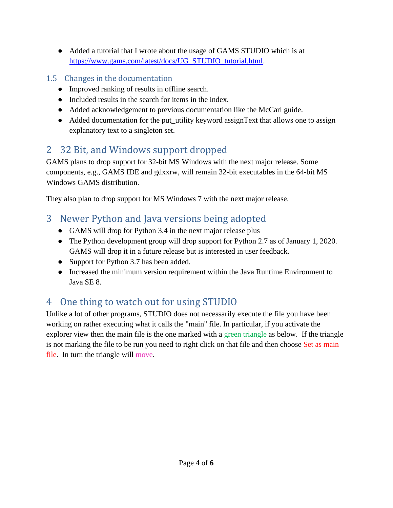- Added a tutorial that I wrote about the usage of GAMS STUDIO which is at [https://www.gams.com/latest/docs/UG\\_STUDIO\\_tutorial.html.](https://www.gams.com/latest/docs/UG_studio_tutorial.html)
- <span id="page-3-0"></span>1.5 Changes in the documentation
	- Improved ranking of results in offline search.
	- Included results in the search for items in the index.
	- Added acknowledgement to previous documentation like the McCarl guide.
	- Added documentation for the put utility keyword assignText that allows one to assign explanatory text to a singleton set.

## <span id="page-3-1"></span>2 32 Bit, and Windows support dropped

GAMS plans to drop support for 32-bit MS Windows with the next major release. Some components, e.g., GAMS IDE and gdxxrw, will remain 32-bit executables in the 64-bit MS Windows GAMS distribution.

They also plan to drop support for MS Windows 7 with the next major release.

### <span id="page-3-2"></span>3 Newer Python and Java versions being adopted

- GAMS will drop for Python 3.4 in the next major release plus
- The Python development group will drop support for Python 2.7 as of January 1, 2020. GAMS will drop it in a future release but is interested in user feedback.
- Support for Python 3.7 has been added.
- Increased the minimum version requirement within the Java Runtime Environment to Java SE 8.

# <span id="page-3-3"></span>4 One thing to watch out for using STUDIO

Unlike a lot of other programs, STUDIO does not necessarily execute the file you have been working on rather executing what it calls the "main" file. In particular, if you activate the explorer view then the main file is the one marked with a green triangle as below. If the triangle is not marking the file to be run you need to right click on that file and then choose Set as main file. In turn the triangle will move.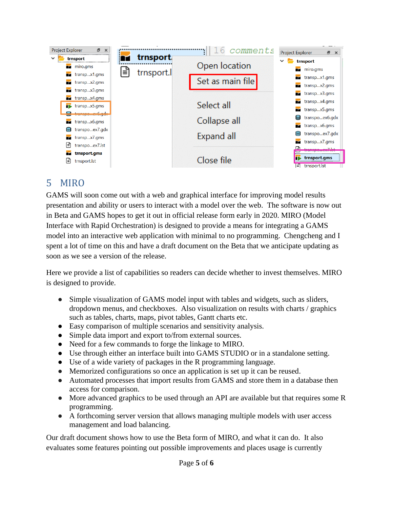| Project Explorer<br>Ð<br>$\times$ |                 | comments         | Project Explorer<br>日 ×           |  |
|-----------------------------------|-----------------|------------------|-----------------------------------|--|
| trnsport                          | <b>trnsport</b> |                  | trnsport                          |  |
| miro.gms<br>М                     |                 | Open location    | miro.gms<br>m                     |  |
| transpx1.gms                      | trnsport.       |                  | transpx1.gms<br>М                 |  |
| transpx2.gms                      |                 | Set as main file | transpx2.gms<br>∼                 |  |
| transpx3.gms                      |                 |                  | transpx3.gms<br>m                 |  |
| $\bullet$ transpx4.gms            |                 |                  | transpx4.qms<br>m                 |  |
| transpx5.gms                      |                 | Select all       | transpx5.gms<br>m                 |  |
| R transna auf adu                 |                 |                  | transpoex6.gdx<br>目               |  |
| transpx6.gms                      |                 | Collapse all     | transpx6.gms<br>М                 |  |
| e<br>transpoex7.gdx               |                 | Expand all       |                                   |  |
| transpx7.gms                      |                 |                  | transpoex7.gdx                    |  |
| ∉ן<br>transpoex7.lst              |                 |                  | transpx7.gms<br>$trancena_2V7let$ |  |
| trnsport.gms                      |                 |                  |                                   |  |
| lΞ<br>trnsport.lst                |                 | Close file       | trnsport.gms                      |  |
|                                   |                 |                  | $\equiv$ trnsport.lst             |  |

# <span id="page-4-0"></span>5 MIRO

GAMS will soon come out with a web and graphical interface for improving model results presentation and ability or users to interact with a model over the web. The software is now out in Beta and GAMS hopes to get it out in official release form early in 2020. MIRO (Model Interface with Rapid Orchestration) is designed to provide a means for integrating a GAMS model into an interactive web application with minimal to no programming. Chengcheng and I spent a lot of time on this and have a draft document on the Beta that we anticipate updating as soon as we see a version of the release.

Here we provide a list of capabilities so readers can decide whether to invest themselves. MIRO is designed to provide.

- Simple visualization of GAMS model input with tables and widgets, such as sliders, dropdown menus, and checkboxes. Also visualization on results with charts / graphics such as tables, charts, maps, pivot tables, Gantt charts etc.
- Easy comparison of multiple scenarios and sensitivity analysis.
- Simple data import and export to/from external sources.
- Need for a few commands to forge the linkage to MIRO.
- Use through either an interface built into GAMS STUDIO or in a standalone setting.
- Use of a wide variety of packages in the R programming language.
- Memorized configurations so once an application is set up it can be reused.
- Automated processes that import results from GAMS and store them in a database then access for comparison.
- More advanced graphics to be used through an API are available but that requires some R programming.
- A forthcoming server version that allows managing multiple models with user access management and load balancing.

Our draft document shows how to use the Beta form of MIRO, and what it can do. It also evaluates some features pointing out possible improvements and places usage is currently